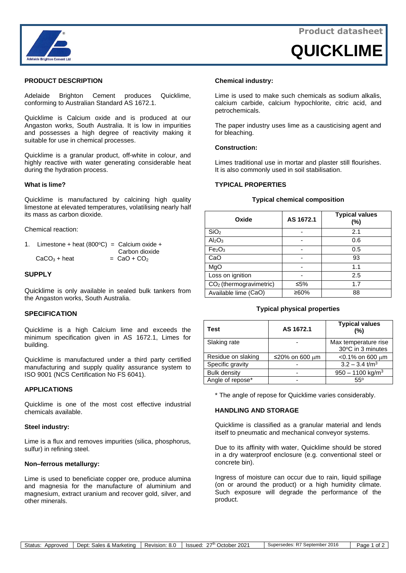

**QUICKLIME**



### **PRODUCT DESCRIPTION**

Adelaide Brighton Cement produces Quicklime, conforming to Australian Standard AS 1672.1.

Quicklime is Calcium oxide and is produced at our Angaston works, South Australia. It is low in impurities and possesses a high degree of reactivity making it suitable for use in chemical processes.

Quicklime is a granular product, off-white in colour, and highly reactive with water generating considerable heat during the hydration process.

### **What is lime?**

Quicklime is manufactured by calcining high quality limestone at elevated temperatures, volatilising nearly half its mass as carbon dioxide.

Chemical reaction:

| 1. Limestone + heat $(800^{\circ}C)$ = Calcium oxide + |                           |
|--------------------------------------------------------|---------------------------|
|                                                        | Carbon dioxide            |
| $CaCO3 + heat$                                         | $=$ CaO + CO <sub>2</sub> |

### **SUPPLY**

Quicklime is only available in sealed bulk tankers from the Angaston works, South Australia.

### **SPECIFICATION**

Quicklime is a high Calcium lime and exceeds the minimum specification given in AS 1672.1, Limes for building.

Quicklime is manufactured under a third party certified manufacturing and supply quality assurance system to ISO 9001 (NCS Certification No FS 6041).

#### **APPLICATIONS**

Quicklime is one of the most cost effective industrial chemicals available.

#### **Steel industry:**

Lime is a flux and removes impurities (silica, phosphorus, sulfur) in refining steel.

#### **Non–ferrous metallurgy:**

Lime is used to beneficiate copper ore, produce alumina and magnesia for the manufacture of aluminium and magnesium, extract uranium and recover gold, silver, and other minerals.

#### **Chemical industry:**

Lime is used to make such chemicals as sodium alkalis, calcium carbide, calcium hypochlorite, citric acid, and petrochemicals.

The paper industry uses lime as a causticising agent and for bleaching.

#### **Construction:**

Limes traditional use in mortar and plaster still flourishes. It is also commonly used in soil stabilisation.

#### **TYPICAL PROPERTIES**

#### **Typical chemical composition**

| Oxide                               | AS 1672.1 | <b>Typical values</b><br>(%) |
|-------------------------------------|-----------|------------------------------|
| SiO <sub>2</sub>                    |           | 2.1                          |
| Al <sub>2</sub> O <sub>3</sub>      |           | 0.6                          |
| Fe <sub>2</sub> O <sub>3</sub>      |           | 0.5                          |
| CaO                                 |           | 93                           |
| MgO                                 |           | 1.1                          |
| Loss on ignition                    |           | 2.5                          |
| CO <sub>2</sub> (thermogravimetric) | ≤5%       | 1.7                          |
| Available lime (CaO)                | ≥60%      | 88                           |

#### **Typical physical properties**

| <b>Test</b>         | AS 1672.1      | <b>Typical values</b><br>$(\% )$          |
|---------------------|----------------|-------------------------------------------|
| Slaking rate        |                | Max temperature rise<br>30°C in 3 minutes |
| Residue on slaking  | ≤20% on 600 µm | $<$ 0.1% on 600 $\mu$ m                   |
| Specific gravity    |                | $3.2 - 3.4$ t/m <sup>3</sup>              |
| <b>Bulk density</b> |                | $950 - 1100$ kg/m <sup>3</sup>            |
| Angle of repose*    | -              | $55^\circ$                                |

\* The angle of repose for Quicklime varies considerably.

#### **HANDLING AND STORAGE**

Quicklime is classified as a granular material and lends itself to pneumatic and mechanical conveyor systems.

Due to its affinity with water, Quicklime should be stored in a dry waterproof enclosure (e.g. conventional steel or concrete bin).

Ingress of moisture can occur due to rain, liquid spillage (on or around the product) or a high humidity climate. Such exposure will degrade the performance of the product.